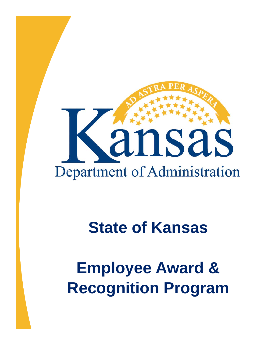

# **State of Kansas**

**Employee Award & Recognition Program**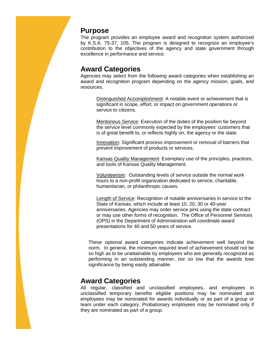#### **Purpose**

The program provides an employee award and recognition system authorized by K.S.A. 75-37, 105. The program is designed to recognize an employee's contribution to the objectives of the agency and state government through excellence in performance and service.

# **Award Categories**

Agencies may select from the following award categories when establishing an award and recognition program depending on the agency mission, goals, and resources.

Distinguished Accomplishment: A notable event or achievement that is significant in scope, effort, or impact on government operations or service to citizens.

Meritorious Service: Execution of the duties of the position far beyond the service level commonly expected by the employees' customers that is of great benefit to, or reflects highly on, the agency or the state.

Innovation: Significant process improvement or removal of barriers that prevent improvement of products or services.

Kansas Quality Management: Exemplary use of the principles, practices, and tools of Kansas Quality Management.

Volunteerism: Outstanding levels of service outside the normal work hours to a non-profit organization dedicated to service, charitable, humanitarian, or philanthropic causes.

Length of Service: Recognition of notable anniversaries in service to the State of Kansas, which include at least 10, 20, 30 or 40-year anniversaries. Agencies may order service pins using the state contract or may use other forms of recognition. The Office of Personnel Services (OPS) in the Department of Administration will coordinate award presentations for 40 and 50 years of service.

These optional award categories indicate achievement well beyond the norm. In general, the minimum required level of achievement should not be so high as to be unattainable by employees who are generally recognized as performing in an outstanding manner, nor so low that the awards lose significance by being easily attainable.

# **Award Categories**

All regular, classified and unclassified employees, and employees in unclassified temporary benefits eligible positions may be nominated and employees may be nominated for awards individually or as part of a group or team under each category. Probationary employees may be nominated only if they are nominated as part of a group.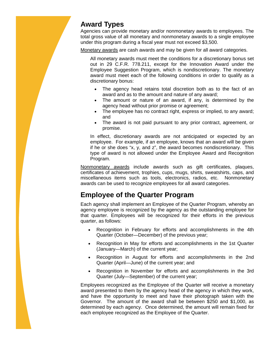# **Award Types**

Agencies can provide monetary and/or nonmonetary awards to employees. The total gross value of all monetary and nonmonetary awards to a single employee under this program during a fiscal year must not exceed \$3,500.

Monetary awards are cash awards and may be given for all award categories.

All monetary awards must meet the conditions for a discretionary bonus set out in 29 C.F.R. 778.211, except for the Innovation Award under the Employee Suggestion Program, which is nondiscretionary. The monetary award must meet each of the following conditions in order to qualify as a discretionary bonus:

- The agency head retains total discretion both as to the fact of an award and as to the amount and nature of any award;
- The amount or nature of an award, if any, is determined by the agency head without prior promise or agreement;
- The employee has no contract right, express or implied, to any award; and
- The award is not paid pursuant to any prior contract, agreement, or promise.

In effect, discretionary awards are not anticipated or expected by an employee. For example, if an employee, knows that an award will be given if he or she does "x, y, and z", the award becomes nondiscretionary. This type of award is not allowed under the Employee Award and Recognition Program.

Nonmonetary awards include awards such as gift certificates, plaques, certificates of achievement, trophies, cups, mugs, shirts, sweatshirts, caps, and miscellaneous items such as tools, electronics, radios, etc. Nonmonetary awards can be used to recognize employees for all award categories.

# **Employee of the Quarter Program**

Each agency shall implement an Employee of the Quarter Program, whereby an agency employee is recognized by the agency as the outstanding employee for that quarter. Employees will be recognized for their efforts in the previous quarter, as follows:

- Recognition in February for efforts and accomplishments in the 4th Quarter (October—December) of the previous year;
- Recognition in May for efforts and accomplishments in the 1st Quarter (January—March) of the current year;
- Recognition in August for efforts and accomplishments in the 2nd Quarter (April—June) of the current year; and
- Recognition in November for efforts and accomplishments in the 3rd Quarter (July—September) of the current year;

Employees recognized as the Employee of the Quarter will receive a monetary award presented to them by the agency head of the agency in which they work, and have the opportunity to meet and have their photograph taken with the Governor. The amount of the award shall be between \$250 and \$1,000, as determined by each agency. Once determined, the amount will remain fixed for each employee recognized as the Employee of the Quarter.